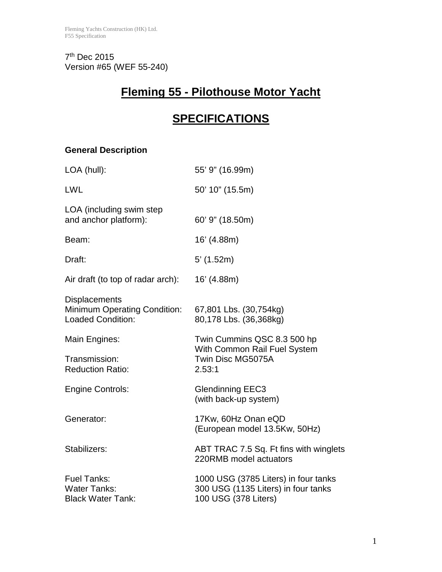7th Dec 2015 Version #65 (WEF 55-240)

# **Fleming 55 - Pilothouse Motor Yacht**

# **SPECIFICATIONS**

# **General Description**

| LOA (hull):                                                                             | 55' 9" (16.99m)                                                                                     |
|-----------------------------------------------------------------------------------------|-----------------------------------------------------------------------------------------------------|
| <b>LWL</b>                                                                              | 50' 10" (15.5m)                                                                                     |
| LOA (including swim step<br>and anchor platform):                                       | 60' 9" (18.50m)                                                                                     |
| Beam:                                                                                   | 16' (4.88m)                                                                                         |
| Draft:                                                                                  | $5'$ (1.52m)                                                                                        |
| Air draft (to top of radar arch):                                                       | 16' (4.88m)                                                                                         |
| <b>Displacements</b><br><b>Minimum Operating Condition:</b><br><b>Loaded Condition:</b> | 67,801 Lbs. (30,754kg)<br>80,178 Lbs. (36,368kg)                                                    |
| Main Engines:                                                                           | Twin Cummins QSC 8.3 500 hp<br>With Common Rail Fuel System                                         |
| Transmission:<br><b>Reduction Ratio:</b>                                                | Twin Disc MG5075A<br>2.53:1                                                                         |
| <b>Engine Controls:</b>                                                                 | <b>Glendinning EEC3</b><br>(with back-up system)                                                    |
| Generator:                                                                              | 17Kw, 60Hz Onan eQD<br>(European model 13.5Kw, 50Hz)                                                |
| Stabilizers:                                                                            | ABT TRAC 7.5 Sq. Ft fins with winglets<br>220RMB model actuators                                    |
| <b>Fuel Tanks:</b><br><b>Water Tanks:</b><br><b>Black Water Tank:</b>                   | 1000 USG (3785 Liters) in four tanks<br>300 USG (1135 Liters) in four tanks<br>100 USG (378 Liters) |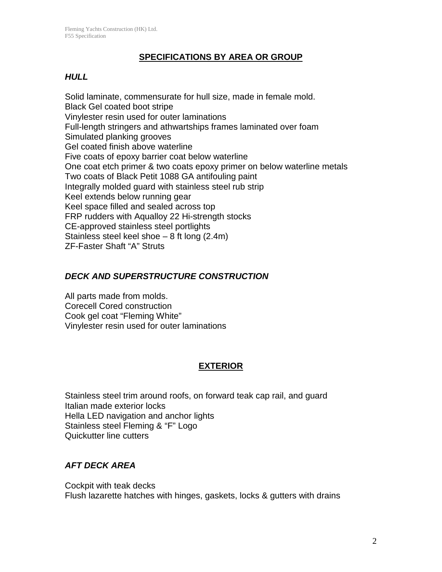#### **SPECIFICATIONS BY AREA OR GROUP**

#### *HULL*

Solid laminate, commensurate for hull size, made in female mold. Black Gel coated boot stripe Vinylester resin used for outer laminations Full-length stringers and athwartships frames laminated over foam Simulated planking grooves Gel coated finish above waterline Five coats of epoxy barrier coat below waterline One coat etch primer & two coats epoxy primer on below waterline metals Two coats of Black Petit 1088 GA antifouling paint Integrally molded guard with stainless steel rub strip Keel extends below running gear Keel space filled and sealed across top FRP rudders with Aqualloy 22 Hi-strength stocks CE-approved stainless steel portlights Stainless steel keel shoe – 8 ft long (2.4m) ZF-Faster Shaft "A" Struts

#### *DECK AND SUPERSTRUCTURE CONSTRUCTION*

All parts made from molds. Corecell Cored construction Cook gel coat "Fleming White" Vinylester resin used for outer laminations

## **EXTERIOR**

Stainless steel trim around roofs, on forward teak cap rail, and guard Italian made exterior locks Hella LED navigation and anchor lights Stainless steel Fleming & "F" Logo Quickutter line cutters

#### *AFT DECK AREA*

Cockpit with teak decks Flush lazarette hatches with hinges, gaskets, locks & gutters with drains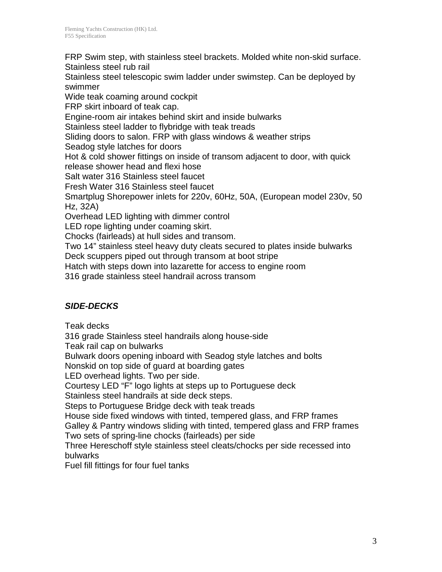FRP Swim step, with stainless steel brackets. Molded white non-skid surface. Stainless steel rub rail

Stainless steel telescopic swim ladder under swimstep. Can be deployed by swimmer

Wide teak coaming around cockpit

FRP skirt inboard of teak cap.

Engine-room air intakes behind skirt and inside bulwarks

Stainless steel ladder to flybridge with teak treads

Sliding doors to salon. FRP with glass windows & weather strips

Seadog style latches for doors

Hot & cold shower fittings on inside of transom adjacent to door, with quick release shower head and flexi hose

Salt water 316 Stainless steel faucet

Fresh Water 316 Stainless steel faucet

Smartplug Shorepower inlets for 220v, 60Hz, 50A, (European model 230v, 50 Hz, 32A)

Overhead LED lighting with dimmer control

LED rope lighting under coaming skirt.

Chocks (fairleads) at hull sides and transom.

Two 14" stainless steel heavy duty cleats secured to plates inside bulwarks

Deck scuppers piped out through transom at boot stripe

Hatch with steps down into lazarette for access to engine room

316 grade stainless steel handrail across transom

## *SIDE-DECKS*

Teak decks

316 grade Stainless steel handrails along house-side

Teak rail cap on bulwarks

Bulwark doors opening inboard with Seadog style latches and bolts

Nonskid on top side of guard at boarding gates

LED overhead lights. Two per side.

Courtesy LED "F" logo lights at steps up to Portuguese deck

Stainless steel handrails at side deck steps.

Steps to Portuguese Bridge deck with teak treads

House side fixed windows with tinted, tempered glass, and FRP frames

Galley & Pantry windows sliding with tinted, tempered glass and FRP frames Two sets of spring-line chocks (fairleads) per side

Three Hereschoff style stainless steel cleats/chocks per side recessed into bulwarks

Fuel fill fittings for four fuel tanks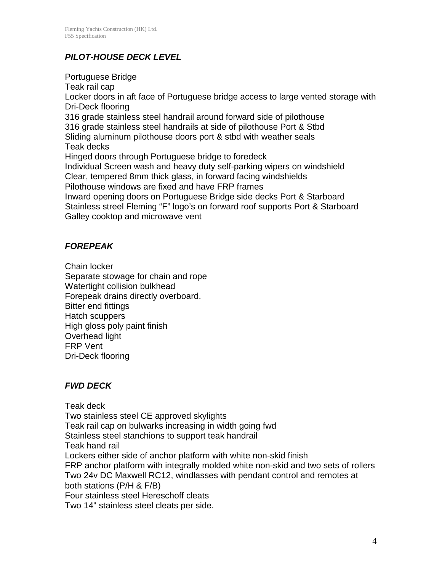## *PILOT-HOUSE DECK LEVEL*

Portuguese Bridge Teak rail cap Locker doors in aft face of Portuguese bridge access to large vented storage with Dri-Deck flooring 316 grade stainless steel handrail around forward side of pilothouse 316 grade stainless steel handrails at side of pilothouse Port & Stbd Sliding aluminum pilothouse doors port & stbd with weather seals Teak decks Hinged doors through Portuguese bridge to foredeck Individual Screen wash and heavy duty self-parking wipers on windshield Clear, tempered 8mm thick glass, in forward facing windshields Pilothouse windows are fixed and have FRP frames Inward opening doors on Portuguese Bridge side decks Port & Starboard Stainless streel Fleming "F" logo's on forward roof supports Port & Starboard Galley cooktop and microwave vent

#### *FOREPEAK*

Chain locker Separate stowage for chain and rope Watertight collision bulkhead Forepeak drains directly overboard. Bitter end fittings Hatch scuppers High gloss poly paint finish Overhead light FRP Vent Dri-Deck flooring

## *FWD DECK*

Teak deck Two stainless steel CE approved skylights Teak rail cap on bulwarks increasing in width going fwd Stainless steel stanchions to support teak handrail Teak hand rail Lockers either side of anchor platform with white non-skid finish FRP anchor platform with integrally molded white non-skid and two sets of rollers Two 24v DC Maxwell RC12, windlasses with pendant control and remotes at both stations (P/H & F/B) Four stainless steel Hereschoff cleats Two 14" stainless steel cleats per side.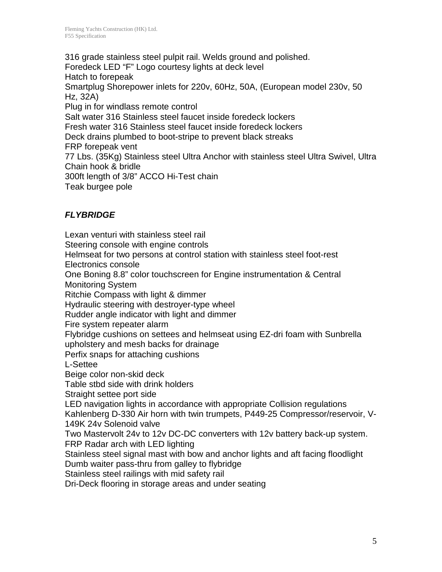316 grade stainless steel pulpit rail. Welds ground and polished. Foredeck LED "F" Logo courtesy lights at deck level Hatch to forepeak Smartplug Shorepower inlets for 220v, 60Hz, 50A, (European model 230v, 50 Hz, 32A) Plug in for windlass remote control Salt water 316 Stainless steel faucet inside foredeck lockers Fresh water 316 Stainless steel faucet inside foredeck lockers Deck drains plumbed to boot-stripe to prevent black streaks FRP forepeak vent 77 Lbs. (35Kg) Stainless steel Ultra Anchor with stainless steel Ultra Swivel, Ultra Chain hook & bridle 300ft length of 3/8" ACCO Hi-Test chain Teak burgee pole

## *FLYBRIDGE*

Lexan venturi with stainless steel rail Steering console with engine controls Helmseat for two persons at control station with stainless steel foot-rest Electronics console One Boning 8.8" color touchscreen for Engine instrumentation & Central Monitoring System Ritchie Compass with light & dimmer Hydraulic steering with destroyer-type wheel Rudder angle indicator with light and dimmer Fire system repeater alarm Flybridge cushions on settees and helmseat using EZ-dri foam with Sunbrella upholstery and mesh backs for drainage Perfix snaps for attaching cushions L-Settee Beige color non-skid deck Table stbd side with drink holders Straight settee port side LED navigation lights in accordance with appropriate Collision regulations Kahlenberg D-330 Air horn with twin trumpets, P449-25 Compressor/reservoir, V-149K 24v Solenoid valve Two Mastervolt 24v to 12v DC-DC converters with 12v battery back-up system. FRP Radar arch with LED lighting Stainless steel signal mast with bow and anchor lights and aft facing floodlight Dumb waiter pass-thru from galley to flybridge Stainless steel railings with mid safety rail Dri-Deck flooring in storage areas and under seating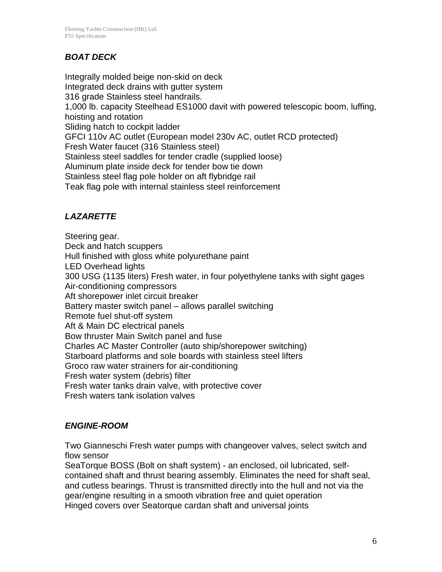# *BOAT DECK*

Integrally molded beige non-skid on deck Integrated deck drains with gutter system 316 grade Stainless steel handrails. 1,000 lb. capacity Steelhead ES1000 davit with powered telescopic boom, luffing, hoisting and rotation Sliding hatch to cockpit ladder GFCI 110v AC outlet (European model 230v AC, outlet RCD protected) Fresh Water faucet (316 Stainless steel) Stainless steel saddles for tender cradle (supplied loose) Aluminum plate inside deck for tender bow tie down Stainless steel flag pole holder on aft flybridge rail Teak flag pole with internal stainless steel reinforcement

# *LAZARETTE*

Steering gear. Deck and hatch scuppers Hull finished with gloss white polyurethane paint LED Overhead lights 300 USG (1135 liters) Fresh water, in four polyethylene tanks with sight gages Air-conditioning compressors Aft shorepower inlet circuit breaker Battery master switch panel – allows parallel switching Remote fuel shut-off system Aft & Main DC electrical panels Bow thruster Main Switch panel and fuse Charles AC Master Controller (auto ship/shorepower switching) Starboard platforms and sole boards with stainless steel lifters Groco raw water strainers for air-conditioning Fresh water system (debris) filter Fresh water tanks drain valve, with protective cover Fresh waters tank isolation valves

## *ENGINE-ROOM*

Two Gianneschi Fresh water pumps with changeover valves, select switch and flow sensor

SeaTorque BOSS (Bolt on shaft system) - an enclosed, oil lubricated, selfcontained shaft and thrust bearing assembly. Eliminates the need for shaft seal, and cutless bearings. Thrust is transmitted directly into the hull and not via the gear/engine resulting in a smooth vibration free and quiet operation Hinged covers over Seatorque cardan shaft and universal joints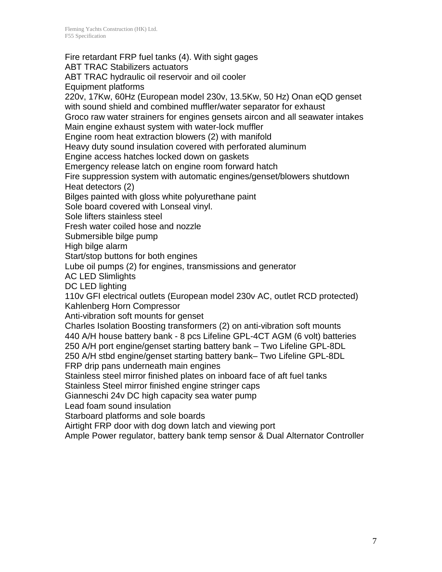Fire retardant FRP fuel tanks (4). With sight gages ABT TRAC Stabilizers actuators ABT TRAC hydraulic oil reservoir and oil cooler Equipment platforms 220v, 17Kw, 60Hz (European model 230v, 13.5Kw, 50 Hz) Onan eQD genset with sound shield and combined muffler/water separator for exhaust Groco raw water strainers for engines gensets aircon and all seawater intakes Main engine exhaust system with water-lock muffler Engine room heat extraction blowers (2) with manifold Heavy duty sound insulation covered with perforated aluminum Engine access hatches locked down on gaskets Emergency release latch on engine room forward hatch Fire suppression system with automatic engines/genset/blowers shutdown Heat detectors (2) Bilges painted with gloss white polyurethane paint Sole board covered with Lonseal vinyl. Sole lifters stainless steel Fresh water coiled hose and nozzle Submersible bilge pump High bilge alarm Start/stop buttons for both engines Lube oil pumps (2) for engines, transmissions and generator AC LED Slimlights DC LED lighting 110v GFI electrical outlets (European model 230v AC, outlet RCD protected) Kahlenberg Horn Compressor Anti-vibration soft mounts for genset Charles Isolation Boosting transformers (2) on anti-vibration soft mounts 440 A/H house battery bank - 8 pcs Lifeline GPL-4CT AGM (6 volt) batteries 250 A/H port engine/genset starting battery bank – Two Lifeline GPL-8DL 250 A/H stbd engine/genset starting battery bank– Two Lifeline GPL-8DL FRP drip pans underneath main engines Stainless steel mirror finished plates on inboard face of aft fuel tanks Stainless Steel mirror finished engine stringer caps Gianneschi 24v DC high capacity sea water pump Lead foam sound insulation Starboard platforms and sole boards Airtight FRP door with dog down latch and viewing port Ample Power regulator, battery bank temp sensor & Dual Alternator Controller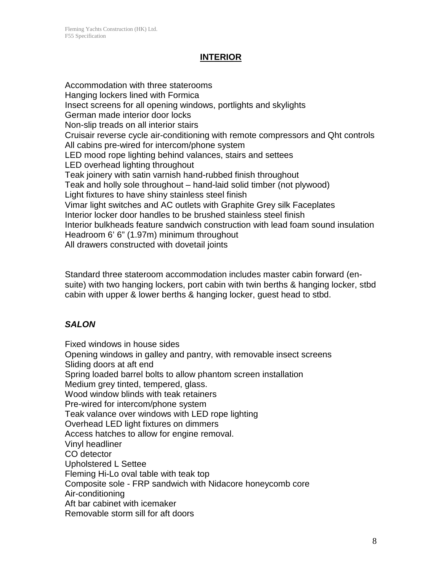#### **INTERIOR**

Accommodation with three staterooms Hanging lockers lined with Formica Insect screens for all opening windows, portlights and skylights German made interior door locks Non-slip treads on all interior stairs Cruisair reverse cycle air-conditioning with remote compressors and Qht controls All cabins pre-wired for intercom/phone system LED mood rope lighting behind valances, stairs and settees LED overhead lighting throughout Teak joinery with satin varnish hand-rubbed finish throughout Teak and holly sole throughout – hand-laid solid timber (not plywood) Light fixtures to have shiny stainless steel finish Vimar light switches and AC outlets with Graphite Grey silk Faceplates Interior locker door handles to be brushed stainless steel finish Interior bulkheads feature sandwich construction with lead foam sound insulation Headroom 6' 6" (1.97m) minimum throughout All drawers constructed with dovetail joints

Standard three stateroom accommodation includes master cabin forward (ensuite) with two hanging lockers, port cabin with twin berths & hanging locker, stbd cabin with upper & lower berths & hanging locker, guest head to stbd.

## *SALON*

Fixed windows in house sides Opening windows in galley and pantry, with removable insect screens Sliding doors at aft end Spring loaded barrel bolts to allow phantom screen installation Medium grey tinted, tempered, glass. Wood window blinds with teak retainers Pre-wired for intercom/phone system Teak valance over windows with LED rope lighting Overhead LED light fixtures on dimmers Access hatches to allow for engine removal. Vinyl headliner CO detector Upholstered L Settee Fleming Hi-Lo oval table with teak top Composite sole - FRP sandwich with Nidacore honeycomb core Air-conditioning Aft bar cabinet with icemaker Removable storm sill for aft doors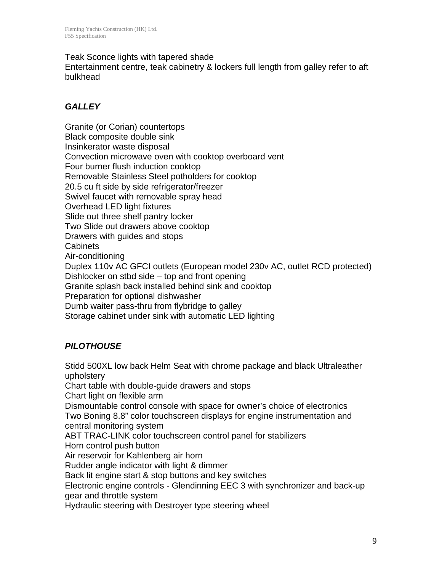#### Teak Sconce lights with tapered shade

Entertainment centre, teak cabinetry & lockers full length from galley refer to aft bulkhead

#### *GALLEY*

Granite (or Corian) countertops Black composite double sink Insinkerator waste disposal Convection microwave oven with cooktop overboard vent Four burner flush induction cooktop Removable Stainless Steel potholders for cooktop 20.5 cu ft side by side refrigerator/freezer Swivel faucet with removable spray head Overhead LED light fixtures Slide out three shelf pantry locker Two Slide out drawers above cooktop Drawers with guides and stops **Cabinets** Air-conditioning Duplex 110v AC GFCI outlets (European model 230v AC, outlet RCD protected) Dishlocker on stbd side – top and front opening Granite splash back installed behind sink and cooktop Preparation for optional dishwasher Dumb waiter pass-thru from flybridge to galley Storage cabinet under sink with automatic LED lighting

## *PILOTHOUSE*

Stidd 500XL low back Helm Seat with chrome package and black Ultraleather upholstery Chart table with double-guide drawers and stops Chart light on flexible arm Dismountable control console with space for owner's choice of electronics Two Boning 8.8" color touchscreen displays for engine instrumentation and central monitoring system ABT TRAC-LINK color touchscreen control panel for stabilizers Horn control push button Air reservoir for Kahlenberg air horn Rudder angle indicator with light & dimmer Back lit engine start & stop buttons and key switches Electronic engine controls - Glendinning EEC 3 with synchronizer and back-up gear and throttle system Hydraulic steering with Destroyer type steering wheel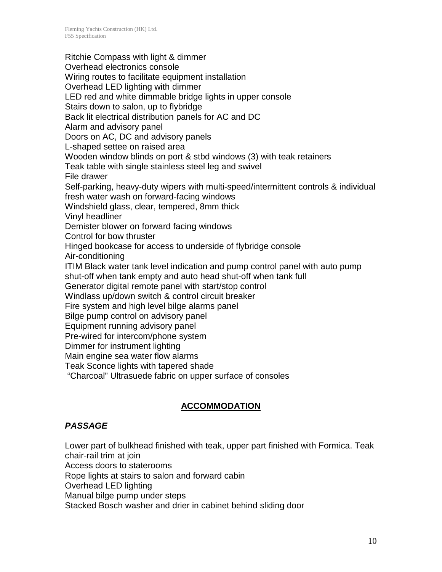Ritchie Compass with light & dimmer Overhead electronics console Wiring routes to facilitate equipment installation Overhead LED lighting with dimmer LED red and white dimmable bridge lights in upper console Stairs down to salon, up to flybridge Back lit electrical distribution panels for AC and DC Alarm and advisory panel Doors on AC, DC and advisory panels L-shaped settee on raised area Wooden window blinds on port & stbd windows (3) with teak retainers Teak table with single stainless steel leg and swivel File drawer Self-parking, heavy-duty wipers with multi-speed/intermittent controls & individual fresh water wash on forward-facing windows Windshield glass, clear, tempered, 8mm thick Vinyl headliner Demister blower on forward facing windows Control for bow thruster Hinged bookcase for access to underside of flybridge console Air-conditioning ITIM Black water tank level indication and pump control panel with auto pump shut-off when tank empty and auto head shut-off when tank full Generator digital remote panel with start/stop control Windlass up/down switch & control circuit breaker Fire system and high level bilge alarms panel Bilge pump control on advisory panel Equipment running advisory panel Pre-wired for intercom/phone system Dimmer for instrument lighting Main engine sea water flow alarms Teak Sconce lights with tapered shade "Charcoal" Ultrasuede fabric on upper surface of consoles

## **ACCOMMODATION**

## *PASSAGE*

Lower part of bulkhead finished with teak, upper part finished with Formica. Teak chair-rail trim at join Access doors to staterooms Rope lights at stairs to salon and forward cabin Overhead LED lighting Manual bilge pump under steps

Stacked Bosch washer and drier in cabinet behind sliding door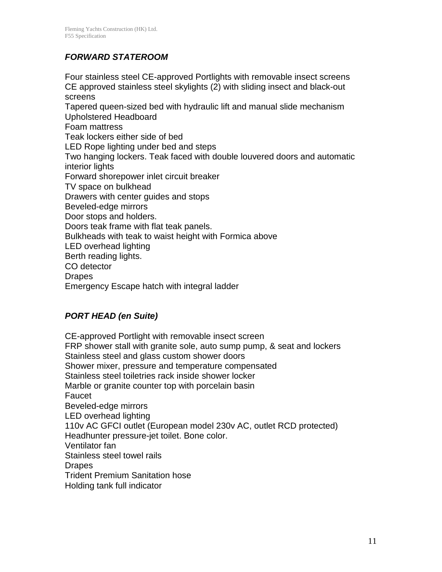## *FORWARD STATEROOM*

Four stainless steel CE-approved Portlights with removable insect screens CE approved stainless steel skylights (2) with sliding insect and black-out screens Tapered queen-sized bed with hydraulic lift and manual slide mechanism Upholstered Headboard Foam mattress Teak lockers either side of bed LED Rope lighting under bed and steps Two hanging lockers. Teak faced with double louvered doors and automatic interior lights Forward shorepower inlet circuit breaker TV space on bulkhead Drawers with center guides and stops Beveled-edge mirrors Door stops and holders. Doors teak frame with flat teak panels. Bulkheads with teak to waist height with Formica above LED overhead lighting Berth reading lights. CO detector Drapes Emergency Escape hatch with integral ladder

#### *PORT HEAD (en Suite)*

CE-approved Portlight with removable insect screen FRP shower stall with granite sole, auto sump pump, & seat and lockers Stainless steel and glass custom shower doors Shower mixer, pressure and temperature compensated Stainless steel toiletries rack inside shower locker Marble or granite counter top with porcelain basin Faucet Beveled-edge mirrors LED overhead lighting 110v AC GFCI outlet (European model 230v AC, outlet RCD protected) Headhunter pressure-jet toilet. Bone color. Ventilator fan Stainless steel towel rails **Drapes** Trident Premium Sanitation hose Holding tank full indicator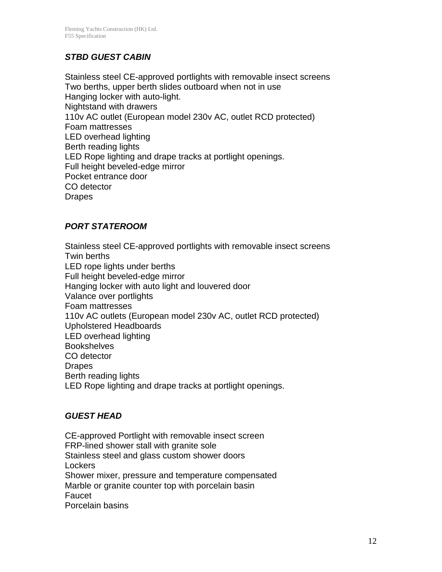## *STBD GUEST CABIN*

Stainless steel CE-approved portlights with removable insect screens Two berths, upper berth slides outboard when not in use Hanging locker with auto-light. Nightstand with drawers 110v AC outlet (European model 230v AC, outlet RCD protected) Foam mattresses LED overhead lighting Berth reading lights LED Rope lighting and drape tracks at portlight openings. Full height beveled-edge mirror Pocket entrance door CO detector Drapes

#### *PORT STATEROOM*

Stainless steel CE-approved portlights with removable insect screens Twin berths LED rope lights under berths Full height beveled-edge mirror Hanging locker with auto light and louvered door Valance over portlights Foam mattresses 110v AC outlets (European model 230v AC, outlet RCD protected) Upholstered Headboards LED overhead lighting **Bookshelves** CO detector Drapes Berth reading lights LED Rope lighting and drape tracks at portlight openings.

#### *GUEST HEAD*

CE-approved Portlight with removable insect screen FRP-lined shower stall with granite sole Stainless steel and glass custom shower doors **Lockers** Shower mixer, pressure and temperature compensated Marble or granite counter top with porcelain basin Faucet Porcelain basins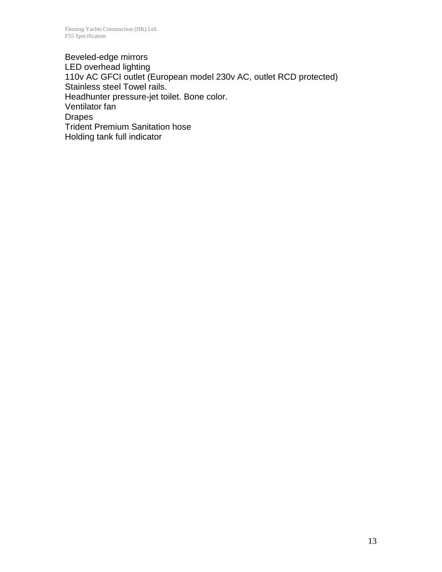Beveled-edge mirrors LED overhead lighting 110v AC GFCI outlet (European model 230v AC, outlet RCD protected) Stainless steel Towel rails. Headhunter pressure-jet toilet. Bone color. Ventilator fan Drapes Trident Premium Sanitation hose Holding tank full indicator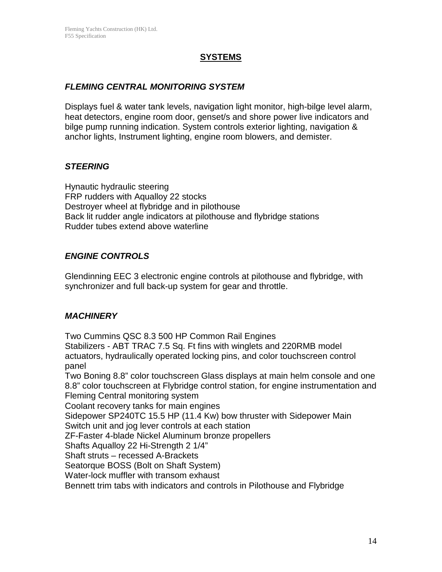#### **SYSTEMS**

#### *FLEMING CENTRAL MONITORING SYSTEM*

Displays fuel & water tank levels, navigation light monitor, high-bilge level alarm, heat detectors, engine room door, genset/s and shore power live indicators and bilge pump running indication. System controls exterior lighting, navigation & anchor lights, Instrument lighting, engine room blowers, and demister.

#### *STEERING*

Hynautic hydraulic steering FRP rudders with Aqualloy 22 stocks Destroyer wheel at flybridge and in pilothouse Back lit rudder angle indicators at pilothouse and flybridge stations Rudder tubes extend above waterline

#### *ENGINE CONTROLS*

Glendinning EEC 3 electronic engine controls at pilothouse and flybridge, with synchronizer and full back-up system for gear and throttle.

#### *MACHINERY*

Two Cummins QSC 8.3 500 HP Common Rail Engines Stabilizers - ABT TRAC 7.5 Sq. Ft fins with winglets and 220RMB model actuators, hydraulically operated locking pins, and color touchscreen control panel Two Boning 8.8" color touchscreen Glass displays at main helm console and one 8.8" color touchscreen at Flybridge control station, for engine instrumentation and

Fleming Central monitoring system

Coolant recovery tanks for main engines

Sidepower SP240TC 15.5 HP (11.4 Kw) bow thruster with Sidepower Main Switch unit and jog lever controls at each station

ZF-Faster 4-blade Nickel Aluminum bronze propellers

Shafts Aqualloy 22 Hi-Strength 2 1/4"

Shaft struts – recessed A-Brackets

Seatorque BOSS (Bolt on Shaft System)

Water-lock muffler with transom exhaust

Bennett trim tabs with indicators and controls in Pilothouse and Flybridge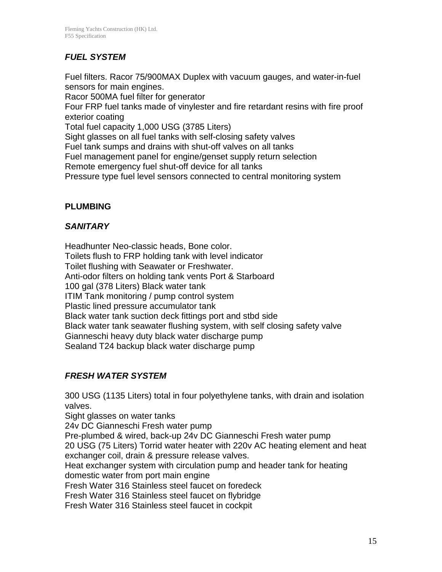# *FUEL SYSTEM*

Fuel filters. Racor 75/900MAX Duplex with vacuum gauges, and water-in-fuel sensors for main engines.

Racor 500MA fuel filter for generator

Four FRP fuel tanks made of vinylester and fire retardant resins with fire proof exterior coating

Total fuel capacity 1,000 USG (3785 Liters)

Sight glasses on all fuel tanks with self-closing safety valves

Fuel tank sumps and drains with shut-off valves on all tanks

Fuel management panel for engine/genset supply return selection

Remote emergency fuel shut-off device for all tanks

Pressure type fuel level sensors connected to central monitoring system

#### **PLUMBING**

#### *SANITARY*

Headhunter Neo-classic heads, Bone color. Toilets flush to FRP holding tank with level indicator Toilet flushing with Seawater or Freshwater. Anti-odor filters on holding tank vents Port & Starboard 100 gal (378 Liters) Black water tank ITIM Tank monitoring / pump control system Plastic lined pressure accumulator tank Black water tank suction deck fittings port and stbd side Black water tank seawater flushing system, with self closing safety valve Gianneschi heavy duty black water discharge pump Sealand T24 backup black water discharge pump

## *FRESH WATER SYSTEM*

300 USG (1135 Liters) total in four polyethylene tanks, with drain and isolation valves.

Sight glasses on water tanks

24v DC Gianneschi Fresh water pump

Pre-plumbed & wired, back-up 24v DC Gianneschi Fresh water pump

20 USG (75 Liters) Torrid water heater with 220v AC heating element and heat exchanger coil, drain & pressure release valves.

Heat exchanger system with circulation pump and header tank for heating domestic water from port main engine

Fresh Water 316 Stainless steel faucet on foredeck

Fresh Water 316 Stainless steel faucet on flybridge

Fresh Water 316 Stainless steel faucet in cockpit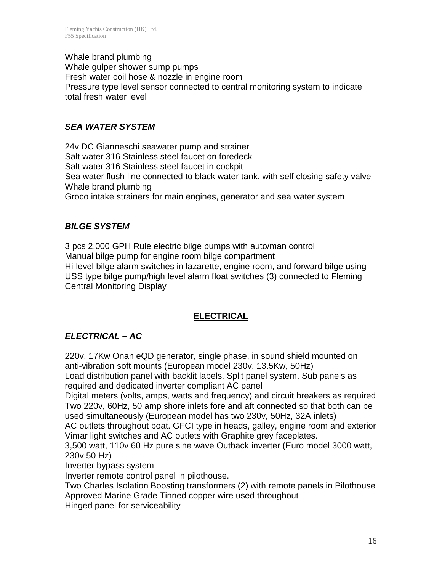Whale brand plumbing Whale gulper shower sump pumps Fresh water coil hose & nozzle in engine room Pressure type level sensor connected to central monitoring system to indicate total fresh water level

## *SEA WATER SYSTEM*

24v DC Gianneschi seawater pump and strainer Salt water 316 Stainless steel faucet on foredeck Salt water 316 Stainless steel faucet in cockpit Sea water flush line connected to black water tank, with self closing safety valve Whale brand plumbing Groco intake strainers for main engines, generator and sea water system

#### *BILGE SYSTEM*

3 pcs 2,000 GPH Rule electric bilge pumps with auto/man control Manual bilge pump for engine room bilge compartment Hi-level bilge alarm switches in lazarette, engine room, and forward bilge using USS type bilge pump/high level alarm float switches (3) connected to Fleming Central Monitoring Display

## **ELECTRICAL**

## *ELECTRICAL – AC*

220v, 17Kw Onan eQD generator, single phase, in sound shield mounted on anti-vibration soft mounts (European model 230v, 13.5Kw, 50Hz)

Load distribution panel with backlit labels. Split panel system. Sub panels as required and dedicated inverter compliant AC panel

Digital meters (volts, amps, watts and frequency) and circuit breakers as required Two 220v, 60Hz, 50 amp shore inlets fore and aft connected so that both can be used simultaneously (European model has two 230v, 50Hz, 32A inlets)

AC outlets throughout boat. GFCI type in heads, galley, engine room and exterior Vimar light switches and AC outlets with Graphite grey faceplates.

3,500 watt, 110v 60 Hz pure sine wave Outback inverter (Euro model 3000 watt, 230v 50 Hz)

Inverter bypass system

Inverter remote control panel in pilothouse.

Two Charles Isolation Boosting transformers (2) with remote panels in Pilothouse Approved Marine Grade Tinned copper wire used throughout

Hinged panel for serviceability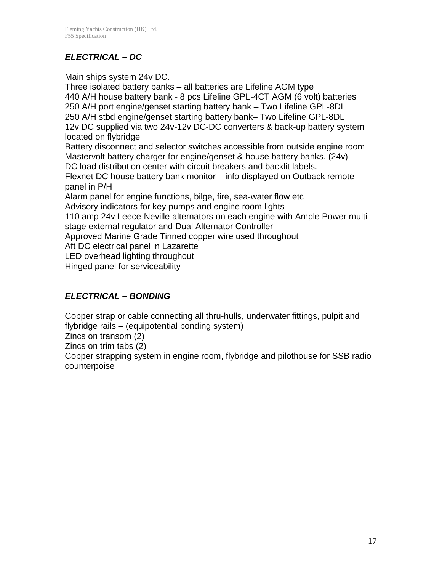# *ELECTRICAL – DC*

Main ships system 24v DC.

Three isolated battery banks – all batteries are Lifeline AGM type 440 A/H house battery bank - 8 pcs Lifeline GPL-4CT AGM (6 volt) batteries 250 A/H port engine/genset starting battery bank – Two Lifeline GPL-8DL 250 A/H stbd engine/genset starting battery bank– Two Lifeline GPL-8DL 12v DC supplied via two 24v-12v DC-DC converters & back-up battery system located on flybridge Battery disconnect and selector switches accessible from outside engine room Mastervolt battery charger for engine/genset & house battery banks. (24v) DC load distribution center with circuit breakers and backlit labels. Flexnet DC house battery bank monitor – info displayed on Outback remote panel in P/H Alarm panel for engine functions, bilge, fire, sea-water flow etc Advisory indicators for key pumps and engine room lights 110 amp 24v Leece-Neville alternators on each engine with Ample Power multistage external regulator and Dual Alternator Controller Approved Marine Grade Tinned copper wire used throughout Aft DC electrical panel in Lazarette LED overhead lighting throughout Hinged panel for serviceability

# *ELECTRICAL – BONDING*

Copper strap or cable connecting all thru-hulls, underwater fittings, pulpit and flybridge rails – (equipotential bonding system)

Zincs on transom (2)

Zincs on trim tabs (2)

Copper strapping system in engine room, flybridge and pilothouse for SSB radio counterpoise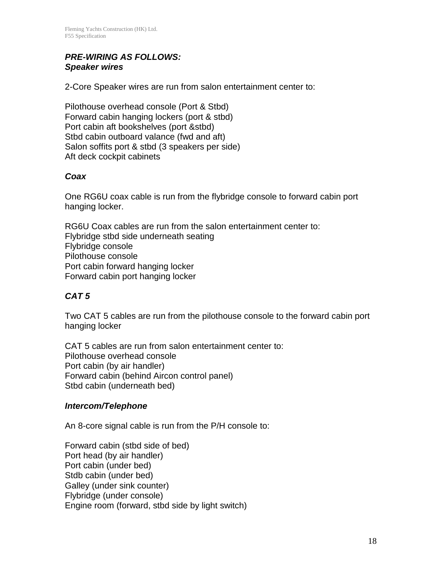#### *PRE-WIRING AS FOLLOWS: Speaker wires*

2-Core Speaker wires are run from salon entertainment center to:

Pilothouse overhead console (Port & Stbd) Forward cabin hanging lockers (port & stbd) Port cabin aft bookshelves (port &stbd) Stbd cabin outboard valance (fwd and aft) Salon soffits port & stbd (3 speakers per side) Aft deck cockpit cabinets

#### *Coax*

One RG6U coax cable is run from the flybridge console to forward cabin port hanging locker.

RG6U Coax cables are run from the salon entertainment center to: Flybridge stbd side underneath seating Flybridge console Pilothouse console Port cabin forward hanging locker Forward cabin port hanging locker

#### *CAT 5*

Two CAT 5 cables are run from the pilothouse console to the forward cabin port hanging locker

CAT 5 cables are run from salon entertainment center to: Pilothouse overhead console Port cabin (by air handler) Forward cabin (behind Aircon control panel) Stbd cabin (underneath bed)

#### *Intercom/Telephone*

An 8-core signal cable is run from the P/H console to:

Forward cabin (stbd side of bed) Port head (by air handler) Port cabin (under bed) Stdb cabin (under bed) Galley (under sink counter) Flybridge (under console) Engine room (forward, stbd side by light switch)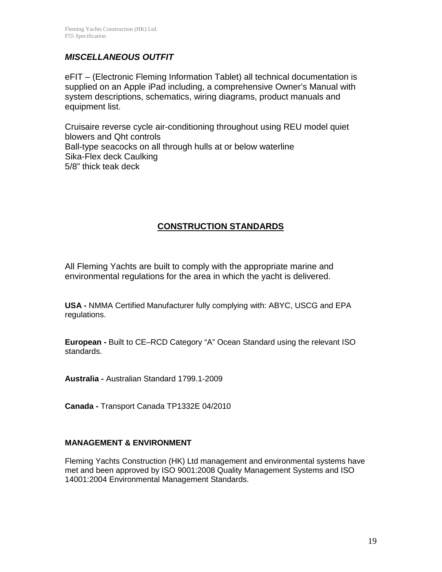#### *MISCELLANEOUS OUTFIT*

eFIT – (Electronic Fleming Information Tablet) all technical documentation is supplied on an Apple iPad including, a comprehensive Owner's Manual with system descriptions, schematics, wiring diagrams, product manuals and equipment list.

Cruisaire reverse cycle air-conditioning throughout using REU model quiet blowers and Qht controls Ball-type seacocks on all through hulls at or below waterline Sika-Flex deck Caulking 5/8" thick teak deck

#### **CONSTRUCTION STANDARDS**

All Fleming Yachts are built to comply with the appropriate marine and environmental regulations for the area in which the yacht is delivered.

**USA -** NMMA Certified Manufacturer fully complying with: ABYC, USCG and EPA regulations.

**European -** Built to CE–RCD Category "A" Ocean Standard using the relevant ISO standards.

**Australia -** Australian Standard 1799.1-2009

**Canada -** Transport Canada TP1332E 04/2010

#### **MANAGEMENT & ENVIRONMENT**

Fleming Yachts Construction (HK) Ltd management and environmental systems have met and been approved by ISO 9001:2008 Quality Management Systems and ISO 14001:2004 Environmental Management Standards.